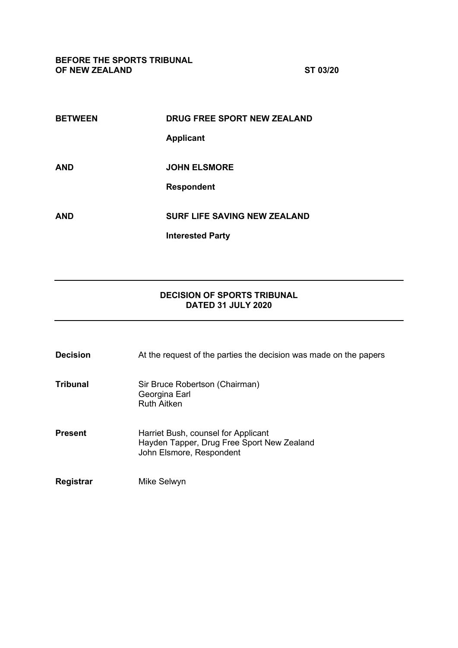**BEFORE THE SPORTS TRIBUNAL OF NEW ZEALAND ST 03/20**

| <b>BETWEEN</b> | <b>DRUG FREE SPORT NEW ZEALAND</b>  |
|----------------|-------------------------------------|
|                | <b>Applicant</b>                    |
|                |                                     |
| AND            | <b>JOHN ELSMORE</b>                 |
|                | <b>Respondent</b>                   |
|                |                                     |
| AND            | <b>SURF LIFE SAVING NEW ZEALAND</b> |
|                | <b>Interested Party</b>             |
|                |                                     |

## **DECISION OF SPORTS TRIBUNAL DATED 31 JULY 2020**

| <b>Decision</b> | At the request of the parties the decision was made on the papers                                             |
|-----------------|---------------------------------------------------------------------------------------------------------------|
| Tribunal        | Sir Bruce Robertson (Chairman)<br>Georgina Earl<br><b>Ruth Aitken</b>                                         |
| Present         | Harriet Bush, counsel for Applicant<br>Hayden Tapper, Drug Free Sport New Zealand<br>John Elsmore, Respondent |
| Registrar       | Mike Selwyn                                                                                                   |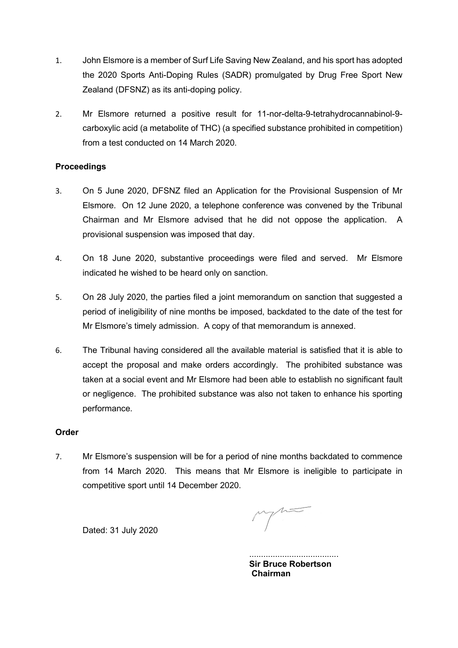- 1. John Elsmore is a member of Surf Life Saving New Zealand, and his sport has adopted the 2020 Sports Anti-Doping Rules (SADR) promulgated by Drug Free Sport New Zealand (DFSNZ) as its anti-doping policy.
- 2. Mr Elsmore returned a positive result for 11-nor-delta-9-tetrahydrocannabinol-9 carboxylic acid (a metabolite of THC) (a specified substance prohibited in competition) from a test conducted on 14 March 2020.

## **Proceedings**

- 3. On 5 June 2020, DFSNZ filed an Application for the Provisional Suspension of Mr Elsmore. On 12 June 2020, a telephone conference was convened by the Tribunal Chairman and Mr Elsmore advised that he did not oppose the application. A provisional suspension was imposed that day.
- 4. On 18 June 2020, substantive proceedings were filed and served. Mr Elsmore indicated he wished to be heard only on sanction.
- 5. On 28 July 2020, the parties filed a joint memorandum on sanction that suggested a period of ineligibility of nine months be imposed, backdated to the date of the test for Mr Elsmore's timely admission. A copy of that memorandum is annexed.
- 6. The Tribunal having considered all the available material is satisfied that it is able to accept the proposal and make orders accordingly. The prohibited substance was taken at a social event and Mr Elsmore had been able to establish no significant fault or negligence. The prohibited substance was also not taken to enhance his sporting performance.

### **Order**

7. Mr Elsmore's suspension will be for a period of nine months backdated to commence from 14 March 2020. This means that Mr Elsmore is ineligible to participate in competitive sport until 14 December 2020.

Dated: 31 July 2020

...................................... **Sir Bruce Robertson Chairman**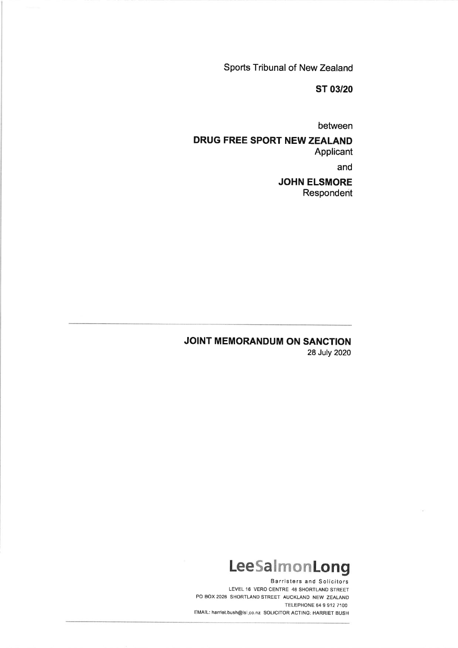Sports Tribunal of New Zealand

**ST 03/20** 

between

## **DRUG FREE SPORT NEW ZEALAND** Applicant

and

## **JOHN ELSMORE** Respondent

## JOINT MEMORANDUM ON SANCTION 28 July 2020

# LeeSalmonLong

**Barristers and Solicitors** LEVEL 16 VERO CENTRE 48 SHORTLAND STREET PO BOX 2026 SHORTLAND STREET AUCKLAND NEW ZEALAND TELEPHONE 64 9 912 7100 EMAIL: harriet.bush@Isl.co.nz SOLICITOR ACTING: HARRIET BUSH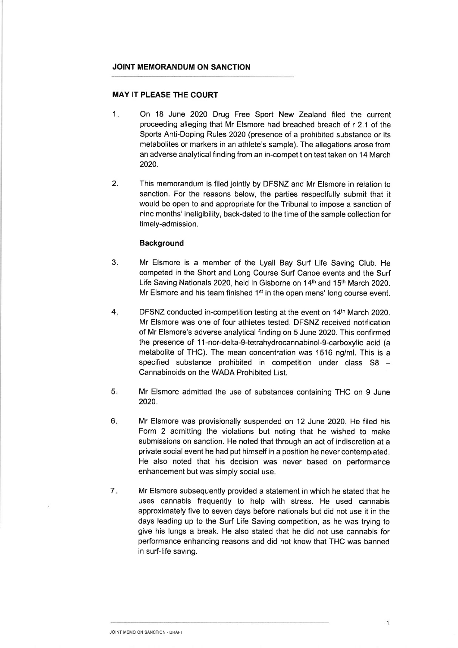#### JOINT MEMORANDUM ON SANCTION

#### **MAY IT PLEASE THE COURT**

- $1.$ On 18 June 2020 Drug Free Sport New Zealand filed the current proceeding alleging that Mr Elsmore had breached breach of r 2.1 of the Sports Anti-Doping Rules 2020 (presence of a prohibited substance or its metabolites or markers in an athlete's sample). The allegations arose from an adverse analytical finding from an in-competition test taken on 14 March 2020.
- $2.$ This memorandum is filed jointly by DFSNZ and Mr Elsmore in relation to sanction. For the reasons below, the parties respectfully submit that it would be open to and appropriate for the Tribunal to impose a sanction of nine months' ineligibility, back-dated to the time of the sample collection for timely-admission.

#### **Background**

- $3.$ Mr Elsmore is a member of the Lyall Bay Surf Life Saving Club. He competed in the Short and Long Course Surf Canoe events and the Surf Life Saving Nationals 2020, held in Gisborne on 14<sup>th</sup> and 15<sup>th</sup> March 2020. Mr Elsmore and his team finished 1<sup>st</sup> in the open mens' long course event.
- $4.$ DFSNZ conducted in-competition testing at the event on 14th March 2020. Mr Elsmore was one of four athletes tested. DFSNZ received notification of Mr Elsmore's adverse analytical finding on 5 June 2020. This confirmed the presence of 11-nor-delta-9-tetrahydrocannabinol-9-carboxylic acid (a metabolite of THC). The mean concentration was 1516 ng/ml. This is a specified substance prohibited in competition under class S8 -Cannabinoids on the WADA Prohibited List.
- 5. Mr Elsmore admitted the use of substances containing THC on 9 June 2020.
- $6.$ Mr Elsmore was provisionally suspended on 12 June 2020. He filed his Form 2 admitting the violations but noting that he wished to make submissions on sanction. He noted that through an act of indiscretion at a private social event he had put himself in a position he never contemplated. He also noted that his decision was never based on performance enhancement but was simply social use.
- $7.$ Mr Elsmore subsequently provided a statement in which he stated that he uses cannabis frequently to help with stress. He used cannabis approximately five to seven days before nationals but did not use it in the days leading up to the Surf Life Saving competition, as he was trying to give his lungs a break. He also stated that he did not use cannabis for performance enhancing reasons and did not know that THC was banned in surf-life saving.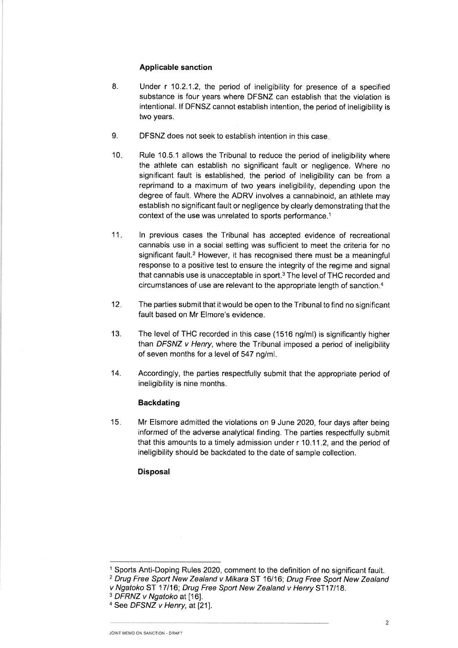#### **Applicable sanction**

- Under r 10.2.1.2, the period of ineligibility for presence of a specified 8. substance is four years where DFSNZ can establish that the violation is intentional. If DFNSZ cannot establish intention, the period of ineligibility is two years.
- 9. DFSNZ does not seek to establish intention in this case.
- $10.$ Rule 10.5.1 allows the Tribunal to reduce the period of ineligibility where the athlete can establish no significant fault or negligence. Where no significant fault is established, the period of ineligibility can be from a reprimand to a maximum of two years ineligibility, depending upon the degree of fault. Where the ADRV involves a cannabinoid, an athlete may establish no significant fault or negligence by clearly demonstrating that the context of the use was unrelated to sports performance.<sup>1</sup>
- $11.$ In previous cases the Tribunal has accepted evidence of recreational cannabis use in a social setting was sufficient to meet the criteria for no significant fault.<sup>2</sup> However, it has recognised there must be a meaningful response to a positive test to ensure the integrity of the regime and signal that cannabis use is unacceptable in sport.<sup>3</sup> The level of THC recorded and circumstances of use are relevant to the appropriate length of sanction.<sup>4</sup>
- $12.$ The parties submit that it would be open to the Tribunal to find no significant fault based on Mr Elmore's evidence.
- $13.$ The level of THC recorded in this case (1516 ng/ml) is significantly higher than DFSNZ v Henry, where the Tribunal imposed a period of ineligibility of seven months for a level of 547 ng/ml.
- 14. Accordingly, the parties respectfully submit that the appropriate period of ineligibility is nine months.

#### **Backdating**

 $15.$ Mr Elsmore admitted the violations on 9 June 2020, four days after being informed of the adverse analytical finding. The parties respectfully submit that this amounts to a timely admission under r 10.11.2, and the period of ineligibility should be backdated to the date of sample collection.

#### **Disposal**

<sup>&</sup>lt;sup>1</sup> Sports Anti-Doping Rules 2020, comment to the definition of no significant fault. <sup>2</sup> Drug Free Sport New Zealand v Mikara ST 16/16; Drug Free Sport New Zealand

v Ngatoko ST 17/16; Drug Free Sport New Zealand v Henry ST17/18.

<sup>&</sup>lt;sup>3</sup> DFRNZ v Ngatoko at [16].

<sup>&</sup>lt;sup>4</sup> See DFSNZ v Henry, at [21].